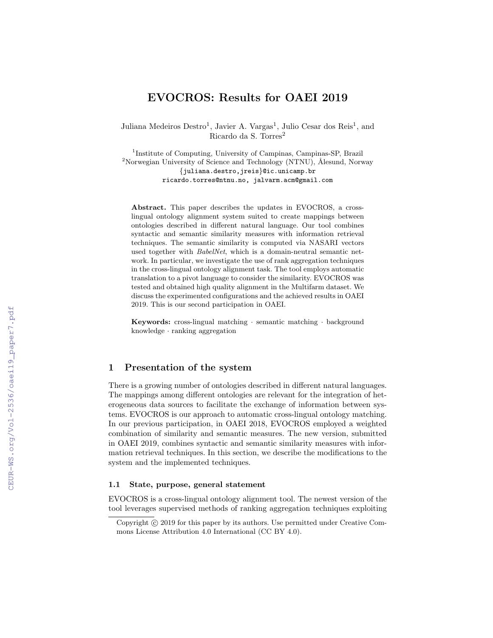# EVOCROS: Results for OAEI 2019

Juliana Medeiros Destro<sup>1</sup>, Javier A. Vargas<sup>1</sup>, Julio Cesar dos Reis<sup>1</sup>, and Ricardo da S. Torres<sup>2</sup>

<sup>1</sup>Institute of Computing, University of Campinas, Campinas-SP, Brazil  $2^2$ Norwegian University of Science and Technology (NTNU), Ålesund, Norway {juliana.destro,jreis}@ic.unicamp.br ricardo.torres@ntnu.no, jalvarm.acm@gmail.com

Abstract. This paper describes the updates in EVOCROS, a crosslingual ontology alignment system suited to create mappings between ontologies described in different natural language. Our tool combines syntactic and semantic similarity measures with information retrieval techniques. The semantic similarity is computed via NASARI vectors used together with BabelNet, which is a domain-neutral semantic network. In particular, we investigate the use of rank aggregation techniques in the cross-lingual ontology alignment task. The tool employs automatic translation to a pivot language to consider the similarity. EVOCROS was tested and obtained high quality alignment in the Multifarm dataset. We discuss the experimented configurations and the achieved results in OAEI 2019. This is our second participation in OAEI.

Keywords: cross-lingual matching · semantic matching · background knowledge · ranking aggregation

# 1 Presentation of the system

There is a growing number of ontologies described in different natural languages. The mappings among different ontologies are relevant for the integration of heterogeneous data sources to facilitate the exchange of information between systems. EVOCROS is our approach to automatic cross-lingual ontology matching. In our previous participation, in OAEI 2018, EVOCROS employed a weighted combination of similarity and semantic measures. The new version, submitted in OAEI 2019, combines syntactic and semantic similarity measures with information retrieval techniques. In this section, we describe the modifications to the system and the implemented techniques.

### 1.1 State, purpose, general statement

EVOCROS is a cross-lingual ontology alignment tool. The newest version of the tool leverages supervised methods of ranking aggregation techniques exploiting

Copyright  $\odot$  2019 for this paper by its authors. Use permitted under Creative Commons License Attribution 4.0 International (CC BY 4.0).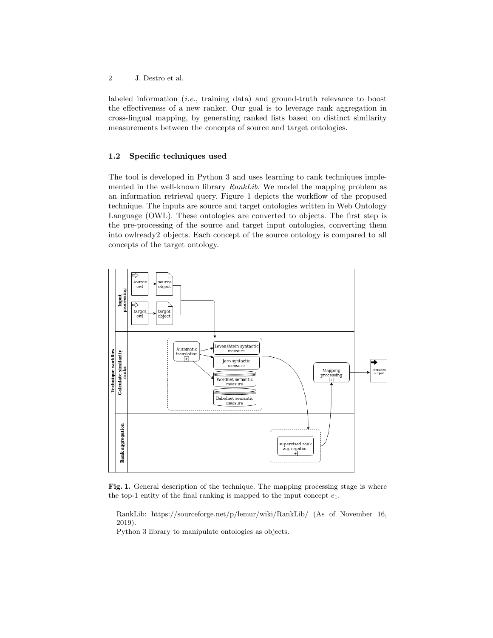labeled information *(i.e., training data)* and ground-truth relevance to boost the effectiveness of a new ranker. Our goal is to leverage rank aggregation in cross-lingual mapping, by generating ranked lists based on distinct similarity measurements between the concepts of source and target ontologies.

### 1.2 Specific techniques used

The tool is developed in Python 3 and uses learning to rank techniques implemented in the well-known library RankLib. We model the mapping problem as an information retrieval query. Figure 1 depicts the workflow of the proposed technique. The inputs are source and target ontologies written in Web Ontology Language (OWL). These ontologies are converted to objects. The first step is the pre-processing of the source and target input ontologies, converting them into owlready2 objects. Each concept of the source ontology is compared to all concepts of the target ontology.



Fig. 1. General description of the technique. The mapping processing stage is where the top-1 entity of the final ranking is mapped to the input concept  $e_1$ .

RankLib: https://sourceforge.net/p/lemur/wiki/RankLib/ (As of November 16, 2019).

Python 3 library to manipulate ontologies as objects.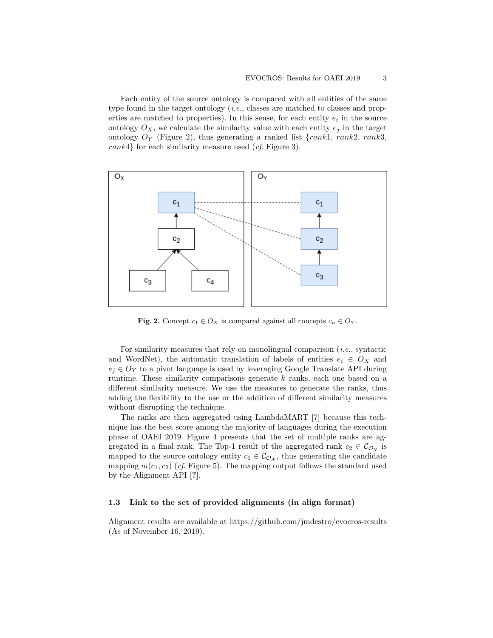Each entity of the source ontology is compared with all entities of the same type found in the target ontology  $(i.e.,$  classes are matched to classes and properties are matched to properties). In this sense, for each entity  $e_i$  in the source ontology  $O_X$ , we calculate the similarity value with each entity  $e_j$  in the target ontology  $O_Y$  (Figure 2), thus generating a ranked list {rank1, rank2, rank3, rank4} for each similarity measure used  $(cf.$  Figure 3).



**Fig. 2.** Concept  $c_1 \in O_X$  is compared against all concepts  $c_n \in O_Y$ .

For similarity measures that rely on monolingual comparison  $(i.e.,$  syntactic and WordNet), the automatic translation of labels of entities  $e_i \in O_X$  and  $e_j \in O_Y$  to a pivot language is used by leveraging Google Translate API during runtime. These similarity comparisons generate  $k$  ranks, each one based on a different similarity measure. We use the measures to generate the ranks, thus adding the flexibility to the use or the addition of different similarity measures without disrupting the technique.

The ranks are then aggregated using LambdaMART [7] because this technique has the best score among the majority of languages during the execution phase of OAEI 2019. Figure 4 presents that the set of multiple ranks are aggregated in a final rank. The Top-1 result of the aggregated rank  $c_2 \in \mathcal{C}_{\mathcal{O}_{\mathcal{Y}}}$  is mapped to the source ontology entity  $c_1 \in \mathcal{C}_{\mathcal{O}_{\mathcal{X}}}$ , thus generating the candidate mapping  $m(c_1, c_2)$  (cf. Figure 5). The mapping output follows the standard used by the Alignment API [?].

### 1.3 Link to the set of provided alignments (in align format)

Alignment results are available at https://github.com/jmdestro/evocros-results (As of November 16, 2019).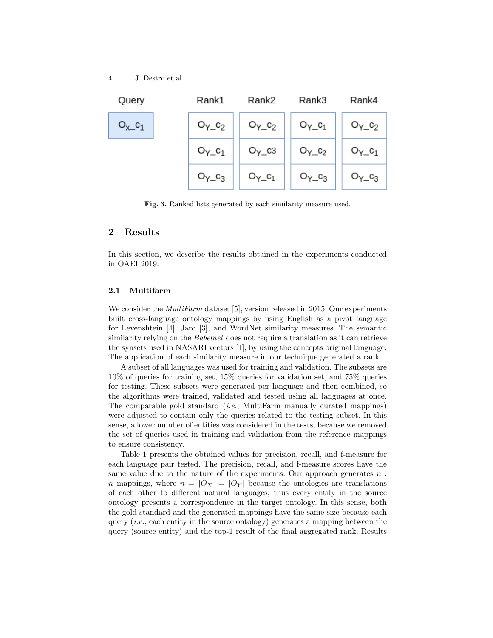#### 4 J. Destro et al.



Fig. 3. Ranked lists generated by each similarity measure used.

## 2 Results

In this section, we describe the results obtained in the experiments conducted in OAEI 2019.

#### 2.1 Multifarm

We consider the *MultiFarm* dataset [5], version released in 2015. Our experiments built cross-language ontology mappings by using English as a pivot language for Levenshtein [4], Jaro [3], and WordNet similarity measures. The semantic similarity relying on the *Babelnet* does not require a translation as it can retrieve the synsets used in NASARI vectors [1], by using the concepts original language. The application of each similarity measure in our technique generated a rank.

A subset of all languages was used for training and validation. The subsets are 10% of queries for training set, 15% queries for validation set, and 75% queries for testing. These subsets were generated per language and then combined, so the algorithms were trained, validated and tested using all languages at once. The comparable gold standard (i.e., MultiFarm manually curated mappings) were adjusted to contain only the queries related to the testing subset. In this sense, a lower number of entities was considered in the tests, because we removed the set of queries used in training and validation from the reference mappings to ensure consistency.

Table 1 presents the obtained values for precision, recall, and f-measure for each language pair tested. The precision, recall, and f-measure scores have the same value due to the nature of the experiments. Our approach generates  $n$ : n mappings, where  $n = |O_X| = |O_Y|$  because the ontologies are translations of each other to different natural languages, thus every entity in the source ontology presents a correspondence in the target ontology. In this sense, both the gold standard and the generated mappings have the same size because each query  $(i.e., each entity in the source ontology) generates a mapping between the$ query (source entity) and the top-1 result of the final aggregated rank. Results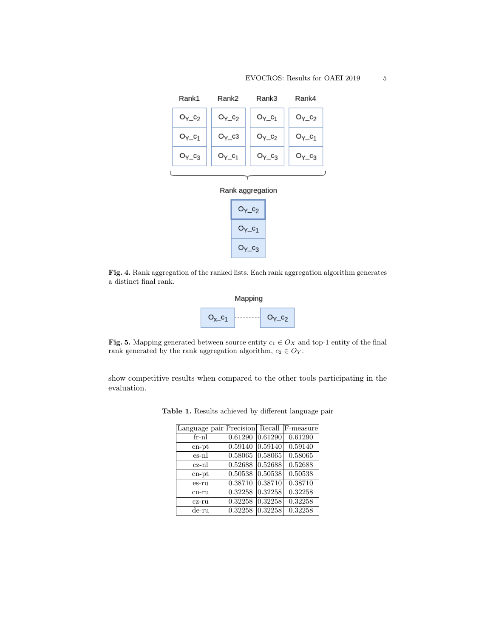| Rank1                        | Rank2                        | Rank3                        | Rank4                        |
|------------------------------|------------------------------|------------------------------|------------------------------|
| $O_{Y}$ <sub>-</sub> $c_{2}$ | $O_{Y}$ <sub>-</sub> $c_{2}$ | $O_{Y}$ <sub>-</sub> $c_1$   | $O_{Y}$ <sub>-</sub> $c_{2}$ |
| $O_{Y}$ <sub>-</sub> $c_1$   | $O_{Y_C}$ c3                 | $O_{Y}$ <sub>-</sub> $C_{2}$ | $O_{Y}$ <sub>-</sub> $c_1$   |
| $O_{Y_C}c_3$                 | $O_{Y}$ <sub>-</sub> $c_1$   | $O_{Y_C_3}$                  | $O_{Y_C_3}$                  |
|                              |                              |                              |                              |



| $O_{Y}$ <sub>-</sub> $C_{2}$ |
|------------------------------|
| $O_{Y}$ <sub>-</sub> $C_1$   |
| $O_{Y}$ <sub>-</sub> $C_{3}$ |

Fig. 4. Rank aggregation of the ranked lists. Each rank aggregation algorithm generates a distinct final rank.



Fig. 5. Mapping generated between source entity  $c_1 \in O_X$  and top-1 entity of the final rank generated by the rank aggregation algorithm,  $c_2 \in O_Y$ .

show competitive results when compared to the other tools participating in the evaluation.

| Language pair Precision Recall F-measure |         |         |         |
|------------------------------------------|---------|---------|---------|
| fr-nl                                    | 0.61290 | 0.61290 | 0.61290 |
| en-pt                                    | 0.59140 | 0.59140 | 0.59140 |
| es-nl                                    | 0.58065 | 0.58065 | 0.58065 |
| cz-nl                                    | 0.52688 | 0.52688 | 0.52688 |
| $cn$ - $pt$                              | 0.50538 | 0.50538 | 0.50538 |
| $eS-11$                                  | 0.38710 | 0.38710 | 0.38710 |
| $cn-ru$                                  | 0.32258 | 0.32258 | 0.32258 |
| CZ-T11                                   | 0.32258 | 0.32258 | 0.32258 |
| de-ru                                    | 0.32258 | 0.32258 | 0.32258 |

Table 1. Results achieved by different language pair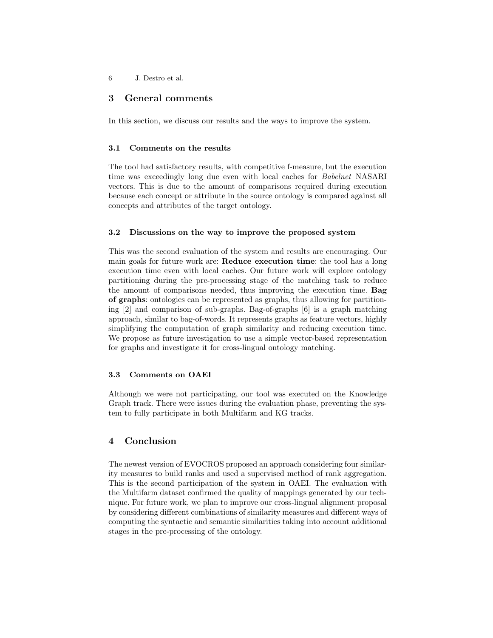6 J. Destro et al.

# 3 General comments

In this section, we discuss our results and the ways to improve the system.

#### 3.1 Comments on the results

The tool had satisfactory results, with competitive f-measure, but the execution time was exceedingly long due even with local caches for Babelnet NASARI vectors. This is due to the amount of comparisons required during execution because each concept or attribute in the source ontology is compared against all concepts and attributes of the target ontology.

#### 3.2 Discussions on the way to improve the proposed system

This was the second evaluation of the system and results are encouraging. Our main goals for future work are: Reduce execution time: the tool has a long execution time even with local caches. Our future work will explore ontology partitioning during the pre-processing stage of the matching task to reduce the amount of comparisons needed, thus improving the execution time. Bag of graphs: ontologies can be represented as graphs, thus allowing for partitioning [2] and comparison of sub-graphs. Bag-of-graphs [6] is a graph matching approach, similar to bag-of-words. It represents graphs as feature vectors, highly simplifying the computation of graph similarity and reducing execution time. We propose as future investigation to use a simple vector-based representation for graphs and investigate it for cross-lingual ontology matching.

### 3.3 Comments on OAEI

Although we were not participating, our tool was executed on the Knowledge Graph track. There were issues during the evaluation phase, preventing the system to fully participate in both Multifarm and KG tracks.

# 4 Conclusion

The newest version of EVOCROS proposed an approach considering four similarity measures to build ranks and used a supervised method of rank aggregation. This is the second participation of the system in OAEI. The evaluation with the Multifarm dataset confirmed the quality of mappings generated by our technique. For future work, we plan to improve our cross-lingual alignment proposal by considering different combinations of similarity measures and different ways of computing the syntactic and semantic similarities taking into account additional stages in the pre-processing of the ontology.